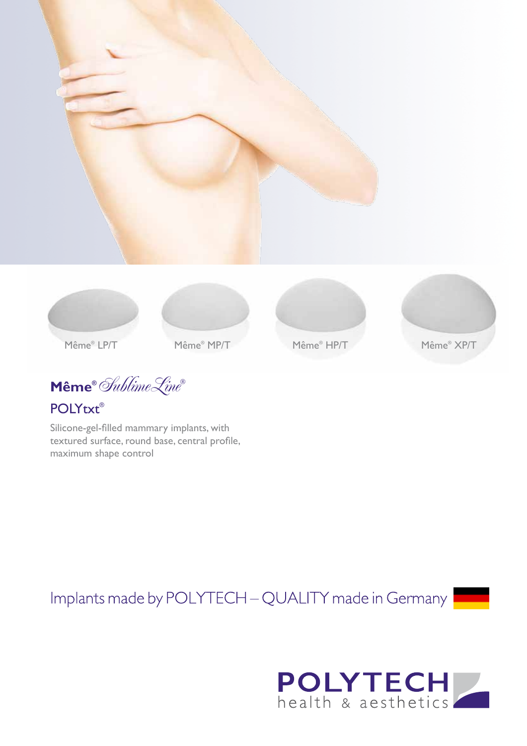









Même® LP/T

Même® MP/T

 $\textbf{Même}^{\circ}$  Sublime Line

**POLYtxt®** 

Silicone-gel-filled mammary implants, with textured surface, round base, central profile, maximum shape control

Implants made by POLYTECH - QUALITY made in Germany